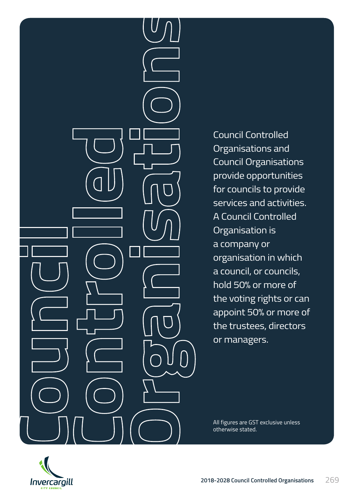Council Controlled Organisations and Council Organisations provide opportunities for councils to provide services and activities. A Council Controlled Organisation is a company or organisation in which a council, or councils, hold 50% or more of the voting rights or can appoint 50% or more of the trustees, directors or managers.

All figures are GST exclusive unless otherwise stated.

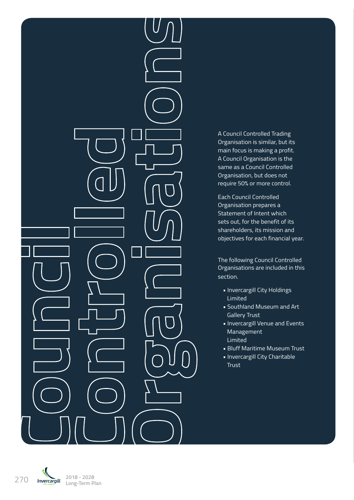A Council Controlled Trading Organisation is similar, but its main focus is making a profit. A Council Organisation is the same as a Council Controlled Organisation, but does not require 50% or more control.

Each Council Controlled Organisation prepares a Statement of Intent which sets out, for the benefit of its shareholders, its mission and objectives for each financial year.

The following Council Controlled Organisations are included in this section.

- Invercargill City Holdings Limited
- Southland Museum and Art Gallery Trust
- Invercargill Venue and Events Management Limited
- Bluff Maritime Museum Trust
- Invercargill City Charitable Trust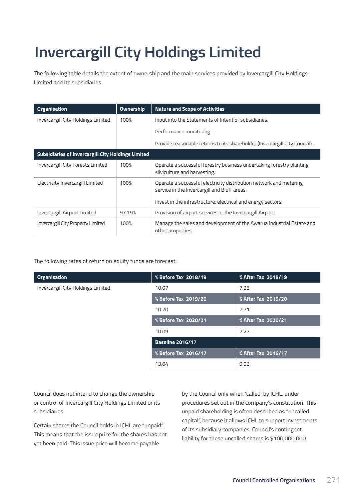# **Invercargill City Holdings Limited**

The following table details the extent of ownership and the main services provided by Invercargill City Holdings Limited and its subsidiaries.

| <b>Organisation</b>                                       | <b>Ownership</b> | <b>Nature and Scope of Activities</b>                                                                                                                                              |
|-----------------------------------------------------------|------------------|------------------------------------------------------------------------------------------------------------------------------------------------------------------------------------|
| Invercargill City Holdings Limited                        | 100%             | Input into the Statements of Intent of subsidiaries.                                                                                                                               |
|                                                           |                  | Performance monitoring.                                                                                                                                                            |
|                                                           |                  | Provide reasonable returns to its shareholder (Invercargill City Council).                                                                                                         |
| <b>Subsidiaries of Invercargill City Holdings Limited</b> |                  |                                                                                                                                                                                    |
| Invercargill City Forests Limited                         | 100%             | Operate a successful forestry business undertaking forestry planting,<br>silviculture and harvesting.                                                                              |
| Electricity Invercargill Limited                          | 100%             | Operate a successful electricity distribution network and metering<br>service in the Invercargill and Bluff areas.<br>Invest in the infrastructure, electrical and energy sectors. |
| Invercargill Airport Limited                              | 97.19%           | Provision of airport services at the Invercargill Airport.                                                                                                                         |
| Invercargill City Property Limited                        | 100%             | Manage the sales and development of the Awarua Industrial Estate and<br>other properties.                                                                                          |

The following rates of return on equity funds are forecast:

| <b>Organisation</b>                | % Before Tax 2018/19    | % After Tax 2018/19 |
|------------------------------------|-------------------------|---------------------|
| Invercargill City Holdings Limited | 10.07                   | 7.25                |
|                                    | % Before Tax 2019/20    | % After Tax 2019/20 |
|                                    | 10.70                   | 7.71                |
|                                    | % Before Tax 2020/21    | % After Tax 2020/21 |
|                                    | 10.09                   | 7.27                |
|                                    | <b>Baseline 2016/17</b> |                     |
|                                    | % Before Tax 2016/17    | % After Tax 2016/17 |
|                                    | 13.04                   | 9.92                |

Council does not intend to change the ownership or control of Invercargill City Holdings Limited or its subsidiaries.

Certain shares the Council holds in ICHL are "unpaid". This means that the issue price for the shares has not yet been paid. This issue price will become payable

by the Council only when 'called' by ICHL, under procedures set out in the company's constitution. This unpaid shareholding is often described as "uncalled capital", because it allows ICHL to support investments of its subsidiary companies. Council's contingent liability for these uncalled shares is \$100,000,000.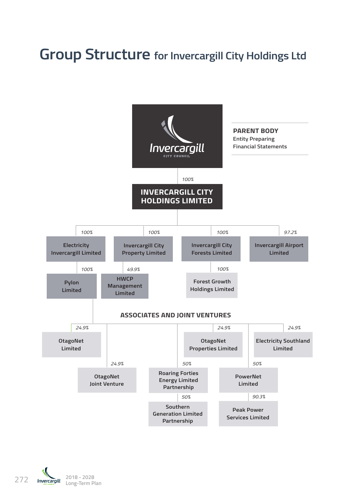#### **Group Structure for Invercargill City Holdings Ltd**



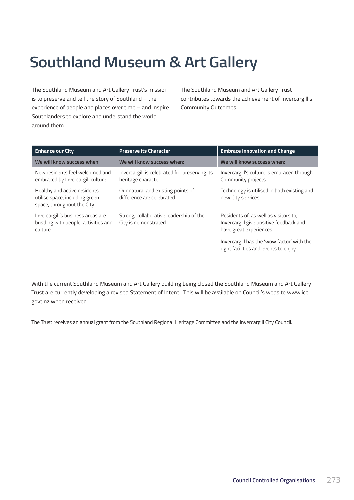## **Southland Museum & Art Gallery**

The Southland Museum and Art Gallery Trust's mission is to preserve and tell the story of Southland – the experience of people and places over time – and inspire Southlanders to explore and understand the world around them.

The Southland Museum and Art Gallery Trust contributes towards the achievement of Invercargill's Community Outcomes.

| <b>Enhance our City</b>                                                                       | <b>Preserve its Character</b>                                        | <b>Embrace Innovation and Change</b>                                                                                                                                                               |
|-----------------------------------------------------------------------------------------------|----------------------------------------------------------------------|----------------------------------------------------------------------------------------------------------------------------------------------------------------------------------------------------|
| We will know success when:                                                                    | We will know success when:                                           | We will know success when:                                                                                                                                                                         |
| New residents feel welcomed and<br>embraced by Invercargill culture.                          | Invercargill is celebrated for preserving its<br>heritage character. | Invercargill's culture is embraced through<br>Community projects.                                                                                                                                  |
| Healthy and active residents<br>utilise space, including green<br>space, throughout the City. | Our natural and existing points of<br>difference are celebrated.     | Technology is utilised in both existing and<br>new City services.                                                                                                                                  |
| Invercargill's business areas are<br>bustling with people, activities and<br>culture.         | Strong, collaborative leadership of the<br>City is demonstrated.     | Residents of, as well as visitors to,<br>Invercargill give positive feedback and<br>have great experiences.<br>Invercargill has the 'wow factor' with the<br>right facilities and events to enjoy. |

With the current Southland Museum and Art Gallery building being closed the Southland Museum and Art Gallery Trust are currently developing a revised Statement of Intent. This will be available on Council's website www.icc. govt.nz when received.

The Trust receives an annual grant from the Southland Regional Heritage Committee and the Invercargill City Council.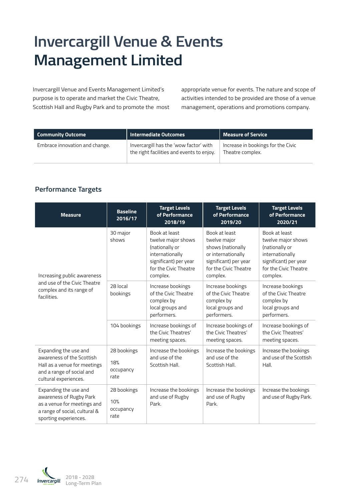#### **Invercargill Venue & Events Management Limited**

Invercargill Venue and Events Management Limited's purpose is to operate and market the Civic Theatre, Scottish Hall and Rugby Park and to promote the most appropriate venue for events. The nature and scope of activities intended to be provided are those of a venue management, operations and promotions company.

| <b>Community Outcome</b>       | <b>Intermediate Outcomes</b>                                                        | <b>Measure of Service</b>                              |
|--------------------------------|-------------------------------------------------------------------------------------|--------------------------------------------------------|
| Embrace innovation and change. | Invercargill has the 'wow factor' with<br>the right facilities and events to enjoy. | Increase in bookings for the Civic<br>Theatre complex. |

#### **Performance Targets**

| <b>Measure</b>                                                                                                                            | <b>Baseline</b><br>2016/17              | <b>Target Levels</b><br>of Performance<br>2018/19                                                                                      | <b>Target Levels</b><br>of Performance<br>2019/20                                                                                      | <b>Target Levels</b><br>of Performance<br>2020/21                                                                                      |
|-------------------------------------------------------------------------------------------------------------------------------------------|-----------------------------------------|----------------------------------------------------------------------------------------------------------------------------------------|----------------------------------------------------------------------------------------------------------------------------------------|----------------------------------------------------------------------------------------------------------------------------------------|
| Increasing public awareness                                                                                                               | 30 major<br>shows                       | Book at least<br>twelve major shows<br>(nationally or<br>internationally<br>significant) per year<br>for the Civic Theatre<br>complex. | Book at least<br>twelve major<br>shows (nationally<br>or internationally<br>significant) per year<br>for the Civic Theatre<br>complex. | Book at least<br>twelve major shows<br>(nationally or<br>internationally<br>significant) per year<br>for the Civic Theatre<br>complex. |
| and use of the Civic Theatre<br>complex and its range of<br>facilities.                                                                   | 28 local<br>bookings                    | Increase bookings<br>of the Civic Theatre<br>complex by<br>local groups and<br>performers.                                             | Increase bookings<br>of the Civic Theatre<br>complex by<br>local groups and<br>performers.                                             | Increase bookings<br>of the Civic Theatre<br>complex by<br>local groups and<br>performers.                                             |
|                                                                                                                                           | 104 bookings                            | Increase bookings of<br>the Civic Theatres'<br>meeting spaces.                                                                         | Increase bookings of<br>the Civic Theatres'<br>meeting spaces.                                                                         | Increase bookings of<br>the Civic Theatres'<br>meeting spaces.                                                                         |
| Expanding the use and<br>awareness of the Scottish<br>Hall as a venue for meetings<br>and a range of social and<br>cultural experiences.  | 28 bookings<br>18%<br>occupancy<br>rate | Increase the bookings<br>and use of the<br>Scottish Hall.                                                                              | Increase the bookings<br>and use of the<br>Scottish Hall.                                                                              | Increase the bookings<br>and use of the Scottish<br>Hall.                                                                              |
| Expanding the use and<br>awareness of Rugby Park<br>as a venue for meetings and<br>a range of social, cultural &<br>sporting experiences. | 28 bookings<br>10%<br>occupancy<br>rate | Increase the bookings<br>and use of Rugby<br>Park.                                                                                     | Increase the bookings<br>and use of Rugby<br>Park.                                                                                     | Increase the bookings<br>and use of Rugby Park.                                                                                        |

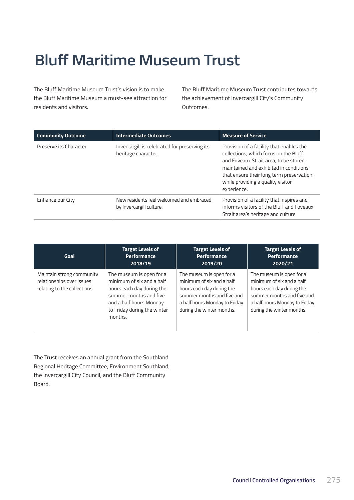#### **Bluff Maritime Museum Trust**

The Bluff Maritime Museum Trust's vision is to make the Bluff Maritime Museum a must-see attraction for residents and visitors.

The Bluff Maritime Museum Trust contributes towards the achievement of Invercargill City's Community Outcomes.

| <b>Community Outcome</b> | Intermediate Outcomes                                                | <b>Measure of Service</b>                                                                                                                                                                                                                                              |
|--------------------------|----------------------------------------------------------------------|------------------------------------------------------------------------------------------------------------------------------------------------------------------------------------------------------------------------------------------------------------------------|
| Preserve its Character   | Invercargill is celebrated for preserving its<br>heritage character. | Provision of a facility that enables the<br>collections, which focus on the Bluff<br>and Foveaux Strait area, to be stored,<br>maintained and exhibited in conditions<br>that ensure their long term preservation;<br>while providing a quality visitor<br>experience. |
| Enhance our City         | New residents feel welcomed and embraced<br>by Invercargill culture. | Provision of a facility that inspires and<br>informs visitors of the Bluff and Foveaux<br>Strait area's heritage and culture.                                                                                                                                          |

| Goal                                                                                   | <b>Target Levels of</b>                                                                                                                                                           | <b>Target Levels of</b>                                                                                                                                                        | <b>Target Levels of</b>                                                                                                                                                        |
|----------------------------------------------------------------------------------------|-----------------------------------------------------------------------------------------------------------------------------------------------------------------------------------|--------------------------------------------------------------------------------------------------------------------------------------------------------------------------------|--------------------------------------------------------------------------------------------------------------------------------------------------------------------------------|
|                                                                                        | Performance                                                                                                                                                                       | Performance                                                                                                                                                                    | <b>Performance</b>                                                                                                                                                             |
|                                                                                        | 2018/19                                                                                                                                                                           | 2019/20                                                                                                                                                                        | 2020/21                                                                                                                                                                        |
| Maintain strong community<br>relationships over issues<br>relating to the collections. | The museum is open for a<br>minimum of six and a half<br>hours each day during the<br>summer months and five<br>and a half hours Monday<br>to Friday during the winter<br>months. | The museum is open for a<br>minimum of six and a half<br>hours each day during the<br>summer months and five and<br>a half hours Monday to Friday<br>during the winter months. | The museum is open for a<br>minimum of six and a half<br>hours each day during the<br>summer months and five and<br>a half hours Monday to Friday<br>during the winter months. |

The Trust receives an annual grant from the Southland Regional Heritage Committee, Environment Southland, the Invercargill City Council, and the Bluff Community Board.